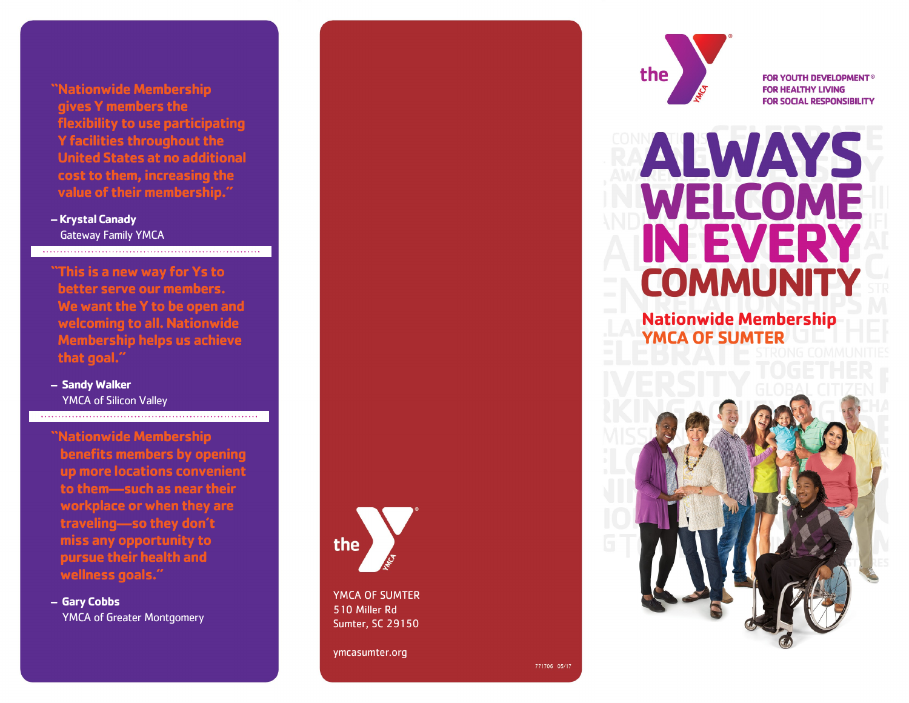**"Nationwide Membership gives Y members the flexibility to use participating Y facilities throughout the United States at no additional cost to them, increasing the value of their membership."**

**– Krystal Canady** Gateway Family YMCA

**"This is a new way for Ys to better serve our members. We want the Y to be open and welcoming to all. Nationwide Membership helps us achieve that goal."**

**– Sandy Walker** YMCA of Silicon Valley

**"Nationwide Membership benefits members by opening up more locations convenient to them —such as near their workplace or when they are traveling —so they don't miss any opportunity to pursue their health and wellness goals."**

**– Gary Cobbs** YMCA of Greater Montgomery



YMCA OF SUMTER 510 Miller Rd Sumter, SC 29150

ymcasumter.org



**FOR YOUTH DEVELOPMENT® FOR HEALTHY LIVING FOR SOCIAL RESPONSIBILITY** 

# **ALWAYS** WELCOME **IN EVERY COMMUNITY**

### **Nationwide Membership YMCA OF SUMTER**